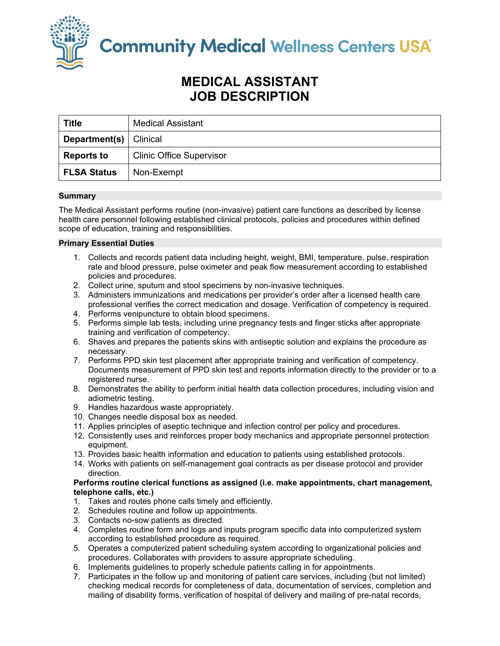

**Community Medical Wellness Centers USA** 

# **MEDICAL ASSISTANT JOB DESCRIPTION**

| <b>Title</b>       | <b>Medical Assistant</b>        |
|--------------------|---------------------------------|
| Department(s) $ $  | Clinical                        |
| <b>Reports to</b>  | <b>Clinic Office Supervisor</b> |
| <b>FLSA Status</b> | Non-Exempt                      |

# **Summary**

The Medical Assistant performs routine (non-invasive) patient care functions as described by license health care personnel following established clinical protocols, policies and procedures within defined scope of education, training and responsibilities.

# **Primary Essential Duties**

- 1. Collects and records patient data including height, weight, BMI, temperature, pulse, respiration rate and blood pressure, pulse oximeter and peak flow measurement according to established policies and procedures.
- 2. Collect urine, sputum and stool specimens by non-invasive techniques.
- 3. Administers immunizations and medications per provider's order after a licensed health care professional verifies the correct medication and dosage. Verification of competency is required.
- 4. Performs venipuncture to obtain blood specimens.
- 5. Performs simple lab tests, including urine pregnancy tests and finger sticks after appropriate training and verification of competency.
- 6. Shaves and prepares the patients skins with antiseptic solution and explains the procedure as necessary.
- 7. Performs PPD skin test placement after appropriate training and verification of competency. Documents measurement of PPD skin test and reports information directly to the provider or to a registered nurse.
- 8. Demonstrates the ability to perform initial health data collection procedures, including vision and adiometric testing.
- 9. Handles hazardous waste appropriately.
- 10. Changes needle disposal box as needed.
- 11. Applies principles of aseptic technique and infection control per policy and procedures.
- 12. Consistently uses and reinforces proper body mechanics and appropriate personnel protection equipment.
- 13. Provides basic health information and education to patients using established protocols.
- 14. Works with patients on self-management goal contracts as per disease protocol and provider direction.

## **Performs routine clerical functions as assigned (i.e. make appointments, chart management, telephone calls, etc.)**

- 1. Takes and routes phone calls timely and efficiently.
- 2. Schedules routine and follow up appointments.
- 3. Contacts no-sow patients as directed.
- 4. Completes routine form and logs and inputs program specific data into computerized system according to established procedure as required.
- 5. Operates a computerized patient scheduling system according to organizational policies and procedures. Collaborates with providers to assure appropriate scheduling.
- 6. Implements guidelines to properly schedule patients calling in for appointments.
- 7. Participates in the follow up and monitoring of patient care services, including (but not limited) checking medical records for completeness of data, documentation of services, completion and mailing of disability forms, verification of hospital of delivery and mailing of pre-natal records,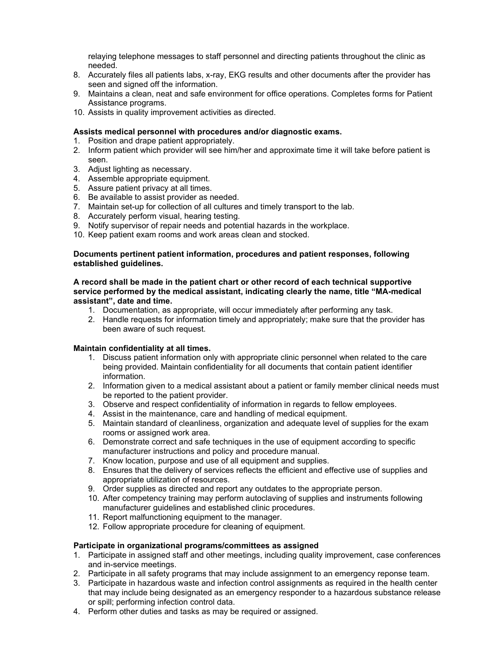relaying telephone messages to staff personnel and directing patients throughout the clinic as needed.

- 8. Accurately files all patients labs, x-ray, EKG results and other documents after the provider has seen and signed off the information.
- 9. Maintains a clean, neat and safe environment for office operations. Completes forms for Patient Assistance programs.
- 10. Assists in quality improvement activities as directed.

# **Assists medical personnel with procedures and/or diagnostic exams.**

- 1. Position and drape patient appropriately.
- 2. Inform patient which provider will see him/her and approximate time it will take before patient is seen.
- 3. Adjust lighting as necessary.
- 4. Assemble appropriate equipment.
- 5. Assure patient privacy at all times.
- 6. Be available to assist provider as needed.
- 7. Maintain set-up for collection of all cultures and timely transport to the lab.
- 8. Accurately perform visual, hearing testing.
- 9. Notify supervisor of repair needs and potential hazards in the workplace.
- 10. Keep patient exam rooms and work areas clean and stocked.

#### **Documents pertinent patient information, procedures and patient responses, following established guidelines.**

## **A record shall be made in the patient chart or other record of each technical supportive service performed by the medical assistant, indicating clearly the name, title "MA-medical assistant", date and time.**

- 1. Documentation, as appropriate, will occur immediately after performing any task.
- 2. Handle requests for information timely and appropriately; make sure that the provider has been aware of such request.

## **Maintain confidentiality at all times.**

- 1. Discuss patient information only with appropriate clinic personnel when related to the care being provided. Maintain confidentiality for all documents that contain patient identifier information.
- 2. Information given to a medical assistant about a patient or family member clinical needs must be reported to the patient provider.
- 3. Observe and respect confidentiality of information in regards to fellow employees.
- 4. Assist in the maintenance, care and handling of medical equipment.
- 5. Maintain standard of cleanliness, organization and adequate level of supplies for the exam rooms or assigned work area.
- 6. Demonstrate correct and safe techniques in the use of equipment according to specific manufacturer instructions and policy and procedure manual.
- 7. Know location, purpose and use of all equipment and supplies.
- 8. Ensures that the delivery of services reflects the efficient and effective use of supplies and appropriate utilization of resources.
- 9. Order supplies as directed and report any outdates to the appropriate person.
- 10. After competency training may perform autoclaving of supplies and instruments following manufacturer guidelines and established clinic procedures.
- 11. Report malfunctioning equipment to the manager.
- 12. Follow appropriate procedure for cleaning of equipment.

## **Participate in organizational programs/committees as assigned**

- 1. Participate in assigned staff and other meetings, including quality improvement, case conferences and in-service meetings.
- 2. Participate in all safety programs that may include assignment to an emergency reponse team.
- 3. Participate in hazardous waste and infection control assignments as required in the health center that may include being designated as an emergency responder to a hazardous substance release or spill; performing infection control data.
- 4. Perform other duties and tasks as may be required or assigned.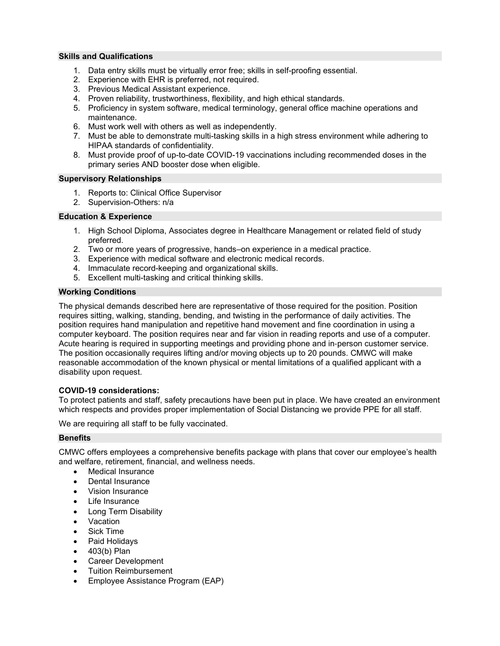#### **Skills and Qualifications**

- 1. Data entry skills must be virtually error free; skills in self-proofing essential.
- 2. Experience with EHR is preferred, not required.
- 3. Previous Medical Assistant experience.
- 4. Proven reliability, trustworthiness, flexibility, and high ethical standards.
- 5. Proficiency in system software, medical terminology, general office machine operations and maintenance.
- 6. Must work well with others as well as independently.
- 7. Must be able to demonstrate multi-tasking skills in a high stress environment while adhering to HIPAA standards of confidentiality.
- 8. Must provide proof of up-to-date COVID-19 vaccinations including recommended doses in the primary series AND booster dose when eligible.

#### **Supervisory Relationships**

- 1. Reports to: Clinical Office Supervisor
- 2. Supervision-Others: n/a

#### **Education & Experience**

- 1. High School Diploma, Associates degree in Healthcare Management or related field of study preferred.
- 2. Two or more years of progressive, hands–on experience in a medical practice.
- 3. Experience with medical software and electronic medical records.
- 4. Immaculate record-keeping and organizational skills.
- 5. Excellent multi-tasking and critical thinking skills.

#### **Working Conditions**

The physical demands described here are representative of those required for the position. Position requires sitting, walking, standing, bending, and twisting in the performance of daily activities. The position requires hand manipulation and repetitive hand movement and fine coordination in using a computer keyboard. The position requires near and far vision in reading reports and use of a computer. Acute hearing is required in supporting meetings and providing phone and in‐person customer service. The position occasionally requires lifting and/or moving objects up to 20 pounds. CMWC will make reasonable accommodation of the known physical or mental limitations of a qualified applicant with a disability upon request.

#### **COVID-19 considerations:**

To protect patients and staff, safety precautions have been put in place. We have created an environment which respects and provides proper implementation of Social Distancing we provide PPE for all staff.

We are requiring all staff to be fully vaccinated.

#### **Benefits**

CMWC offers employees a comprehensive benefits package with plans that cover our employee's health and welfare, retirement, financial, and wellness needs.

- **Medical Insurance**
- Dental Insurance
- Vision Insurance
- Life Insurance
- Long Term Disability
- Vacation
- Sick Time
- Paid Holidays
- 403(b) Plan
- Career Development
- Tuition Reimbursement
- Employee Assistance Program (EAP)